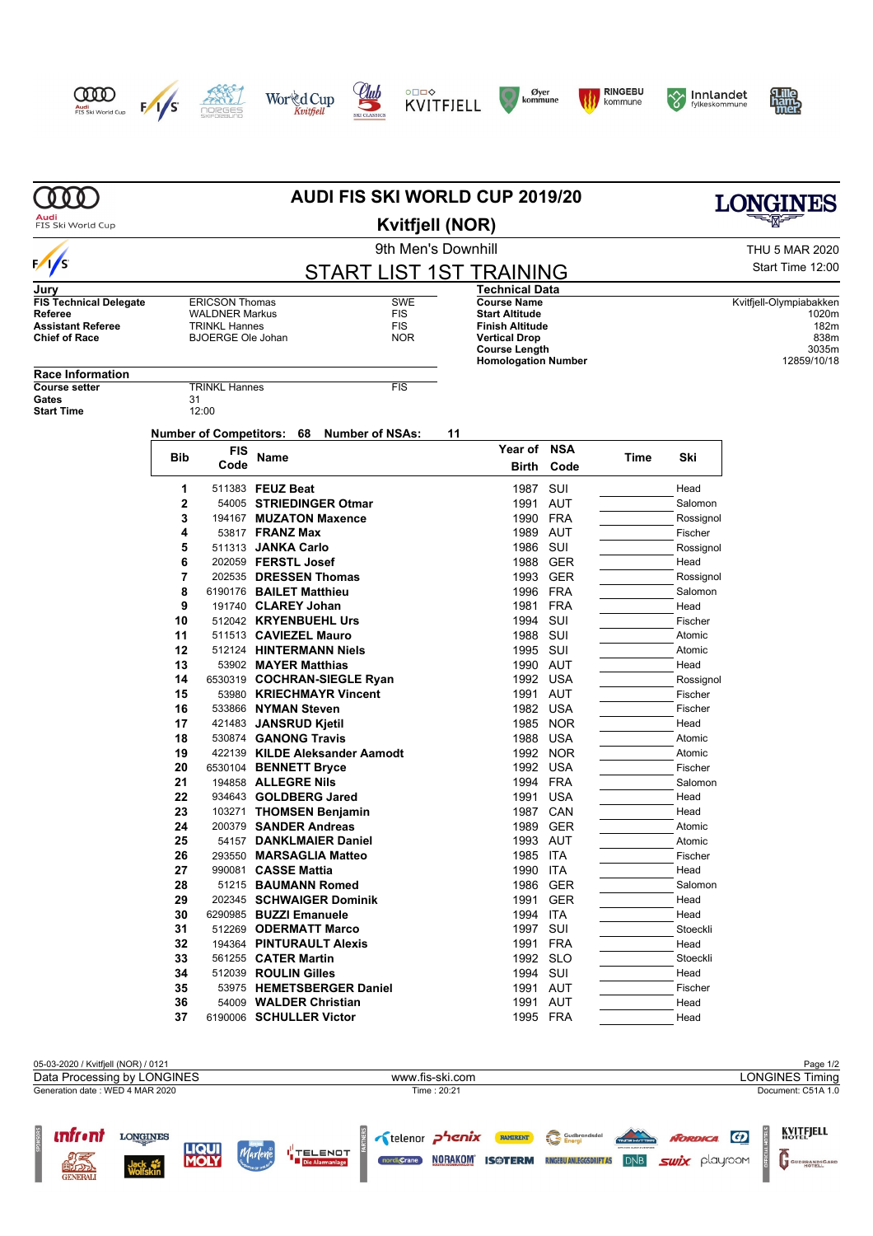

GENERAL







**Club** 











|                                     | <b>AUDI FIS SKI WORLD CUP 2019/20</b>        |                                               |                                              |  |                                |                   |    |                                                    | LONGINES                 |                |                      |                         |
|-------------------------------------|----------------------------------------------|-----------------------------------------------|----------------------------------------------|--|--------------------------------|-------------------|----|----------------------------------------------------|--------------------------|----------------|----------------------|-------------------------|
| Audi<br>FIS Ski World Cup           | <b>Kvitfjell (NOR)</b><br>9th Men's Downhill |                                               |                                              |  |                                |                   |    |                                                    |                          |                |                      |                         |
|                                     |                                              |                                               |                                              |  |                                |                   |    |                                                    |                          | THU 5 MAR 2020 |                      |                         |
| $\sqrt{s}$                          | <b>START LIST 1ST TRAINING</b>               |                                               |                                              |  |                                |                   |    |                                                    | Start Time 12:00         |                |                      |                         |
| Jurv                                |                                              |                                               |                                              |  |                                |                   |    | Technical Data                                     |                          |                |                      |                         |
| <b>FIS Technical Delegate</b>       |                                              | <b>ERICSON Thomas</b>                         |                                              |  |                                | <b>SWE</b>        |    | <b>Course Name</b>                                 |                          |                |                      | Kvitfjell-Olympiabakken |
| Referee<br><b>Assistant Referee</b> |                                              | <b>WALDNER Markus</b><br><b>TRINKL Hannes</b> |                                              |  |                                | FIS<br><b>FIS</b> |    | <b>Start Altitude</b><br><b>Finish Altitude</b>    |                          |                |                      | 1020m<br>182m           |
| <b>Chief of Race</b>                |                                              | <b>BJOERGE Ole Johan</b>                      |                                              |  |                                | <b>NOR</b>        |    | <b>Vertical Drop</b>                               |                          |                |                      | 838m                    |
|                                     |                                              |                                               |                                              |  |                                |                   |    | <b>Course Length</b><br><b>Homologation Number</b> |                          |                |                      | 3035m<br>12859/10/18    |
| <b>Race Information</b>             |                                              |                                               |                                              |  |                                |                   |    |                                                    |                          |                |                      |                         |
| <b>Course setter</b>                |                                              | <b>TRINKL Hannes</b>                          |                                              |  |                                | <b>FIS</b>        |    |                                                    |                          |                |                      |                         |
| Gates<br><b>Start Time</b>          | 31                                           | 12:00                                         |                                              |  |                                |                   |    |                                                    |                          |                |                      |                         |
|                                     |                                              |                                               |                                              |  |                                |                   |    |                                                    |                          |                |                      |                         |
|                                     |                                              | <b>Number of Competitors: 68</b>              |                                              |  | <b>Number of NSAs:</b>         |                   | 11 |                                                    |                          |                |                      |                         |
|                                     | Bib                                          | <b>FIS</b><br>Code                            | Name                                         |  |                                |                   |    | Year of                                            | <b>NSA</b>               | Time           | Ski                  |                         |
|                                     |                                              |                                               |                                              |  |                                |                   |    | Birth                                              | Code                     |                |                      |                         |
|                                     | 1                                            |                                               | 511383 FEUZ Beat                             |  |                                |                   |    | 1987                                               | SUI                      |                | Head                 |                         |
|                                     | $\mathbf 2$                                  |                                               |                                              |  | 54005 STRIEDINGER Otmar        |                   |    | 1991                                               | AUT                      |                | Salomon              |                         |
|                                     | 3                                            |                                               | 53817 <b>FRANZ Max</b>                       |  | 194167 MUZATON Maxence         |                   |    |                                                    | 1990 FRA                 |                | Rossignol            |                         |
|                                     | 4<br>5                                       |                                               | 511313 JANKA Carlo                           |  |                                |                   |    | 1986                                               | 1989 AUT<br>SUI          |                | Fischer<br>Rossignol |                         |
|                                     | 6                                            |                                               | 202059 <b>FERSTL Josef</b>                   |  |                                |                   |    |                                                    | 1988 GER                 |                | Head                 |                         |
|                                     | 7                                            |                                               | 202535 DRESSEN Thomas                        |  |                                |                   |    |                                                    | 1993 GER                 |                | Rossignol            |                         |
|                                     | 8                                            | 6190176 BAILET Matthieu                       |                                              |  |                                |                   |    |                                                    | 1996 FRA                 |                | Salomon              |                         |
|                                     | 9                                            |                                               | 191740 CLAREY Johan                          |  |                                |                   |    |                                                    | 1981 FRA                 |                | Head                 |                         |
|                                     | 10                                           |                                               | 512042 KRYENBUEHL Urs                        |  |                                |                   |    | 1994 SUI                                           |                          |                | Fischer              |                         |
|                                     | 11                                           |                                               | 511513 CAVIEZEL Mauro                        |  |                                |                   |    | 1988                                               | SUI                      |                | Atomic               |                         |
|                                     | 12<br>13                                     |                                               | 53902 MAYER Matthias                         |  | 512124 HINTERMANN Niels        |                   |    | 1995 SUI                                           | 1990 AUT                 |                | Atomic<br>Head       |                         |
|                                     | 14                                           |                                               |                                              |  | 6530319 COCHRAN-SIEGLE Ryan    |                   |    | 1992                                               | <b>USA</b>               |                | Rossignol            |                         |
|                                     | 15                                           |                                               |                                              |  | 53980 KRIECHMAYR Vincent       |                   |    |                                                    | 1991 AUT                 |                | Fischer              |                         |
|                                     | 16                                           |                                               | 533866 NYMAN Steven                          |  |                                |                   |    |                                                    | 1982 USA                 |                | Fischer              |                         |
|                                     | 17                                           |                                               | 421483 JANSRUD Kjetil                        |  |                                |                   |    | 1985                                               | <b>NOR</b>               |                | Head                 |                         |
|                                     | 18                                           |                                               | 530874 <b>GANONG Travis</b>                  |  |                                |                   |    | 1988                                               | USA                      |                | Atomic               |                         |
|                                     | 19                                           |                                               |                                              |  | 422139 KILDE Aleksander Aamodt |                   |    |                                                    | 1992 NOR                 |                | Atomic               |                         |
|                                     | 20                                           | 6530104 BENNETT Bryce                         |                                              |  |                                |                   |    | 1992                                               | <b>USA</b>               |                | Fischer              |                         |
|                                     | 21<br>22                                     |                                               | 194858 ALLEGRE Nils<br>934643 GOLDBERG Jared |  |                                |                   |    | 1994<br>1991                                       | <b>FRA</b><br><b>USA</b> |                | Salomon<br>Head      |                         |
|                                     | 23                                           |                                               |                                              |  | 103271 THOMSEN Benjamin        |                   |    |                                                    | 1987 CAN                 |                | Head                 |                         |
|                                     | 24                                           |                                               | 200379 SANDER Andreas                        |  |                                |                   |    |                                                    | 1989 GER                 |                | Atomic               |                         |
|                                     | 25                                           |                                               |                                              |  | 54157 DANKLMAIER Daniel        |                   |    |                                                    | 1993 AUT                 |                | Atomic               |                         |
|                                     | 26                                           |                                               |                                              |  | 293550 MARSAGLIA Matteo        |                   |    | 1985 ITA                                           |                          |                | Fischer              |                         |
|                                     | 27                                           |                                               | 990081 CASSE Mattia                          |  |                                |                   |    | 1990 ITA                                           |                          |                | Head                 |                         |
|                                     | 28                                           |                                               | 51215 BAUMANN Romed                          |  |                                |                   |    |                                                    | 1986 GER                 |                | Salomon              |                         |
|                                     | 29                                           | 6290985 BUZZI Emanuele                        |                                              |  | 202345 SCHWAIGER Dominik       |                   |    |                                                    | 1991 GER                 |                | Head                 |                         |
|                                     | 30<br>31                                     |                                               | 512269 ODERMATT Marco                        |  |                                |                   |    | 1994 ITA<br>1997 SUI                               |                          |                | Head<br>Stoeckli     |                         |
|                                     | 32                                           |                                               |                                              |  | 194364 PINTURAULT Alexis       |                   |    |                                                    | 1991 FRA                 |                | Head                 |                         |
|                                     | 33                                           |                                               | 561255 CATER Martin                          |  |                                |                   |    |                                                    | 1992 SLO                 |                | Stoeckli             |                         |
|                                     | 34                                           |                                               | 512039 ROULIN Gilles                         |  |                                |                   |    | 1994 SUI                                           |                          |                | Head                 |                         |
|                                     | 35                                           |                                               |                                              |  | 53975 HEMETSBERGER Daniel      |                   |    |                                                    | 1991 AUT                 |                | Fischer              |                         |
|                                     | 36                                           |                                               | 54009 WALDER Christian                       |  |                                |                   |    |                                                    | 1991 AUT                 |                | Head                 |                         |
|                                     | 37                                           | 6190006 SCHULLER Victor                       |                                              |  |                                |                   |    |                                                    | 1995 FRA                 |                | Head                 |                         |